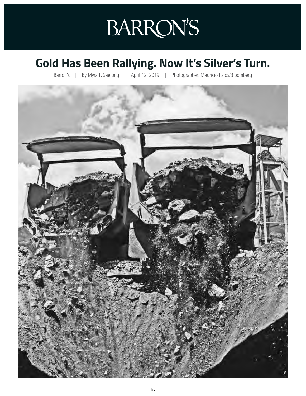## **BARRON'S**

## **Gold Has Been Rallying. Now It's Silver's Turn.**

Barron's | By Myra P. Saefong | April 12, 2019 | Photographer: Mauricio Palos/Bloomberg

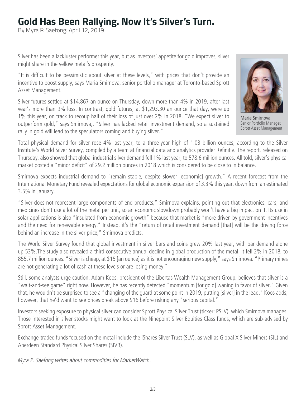## **Gold Has Been Rallying. Now It's Silver's Turn.**

By Myra P. Saefong: April 12, 2019

Silver has been a lackluster performer this year, but as investors' appetite for gold improves, silver might share in the yellow metal's prosperity.

"It is difficult to be pessimistic about silver at these levels," with prices that don't provide an incentive to boost supply, says Maria Smirnova, senior portfolio manager at Toronto-based Sprott Asset Management.

Silver futures settled at \$14.867 an ounce on Thursday, down more than 4% in 2019, after last year's more than 9% loss. In contrast, gold futures, at \$1,293.30 an ounce that day, were up 1% this year, on track to recoup half of their loss of just over 2% in 2018. "We expect silver to outperform gold," says Smirnova,. "Silver has lacked retail investment demand, so a sustained rally in gold will lead to the speculators coming and buying silver."



Maria Smirnova Senior Portfolio Manager, Sprott Asset Management

Total physical demand for silver rose 4% last year, to a three-year high of 1.03 billion ounces, according to the Silver Institute's World Silver Survey, compiled by a team at financial data and analytics provider Refinitiv. The report, released on Thursday, also showed that global industrial silver demand fell 1% last year, to 578.6 million ounces. All told, silver's physical market posted a "minor deficit" of 29.2 million ounces in 2018 which is considered to be close to in balance.

Smirnova expects industrial demand to "remain stable, despite slower [economic] growth." A recent forecast from the International Monetary Fund revealed expectations for global economic expansion of 3.3% this year, down from an estimated 3.5% in January.

"Silver does not represent large components of end products," Smirnova explains, pointing out that electronics, cars, and medicines don't use a lot of the metal per unit, so an economic slowdown probably won't have a big impact on it. Its use in solar applications is also "insulated from economic growth" because that market is "more driven by government incentives and the need for renewable energy." Instead, it's the "return of retail investment demand [that] will be the driving force behind an increase in the silver price," Smirnova predicts.

The World Silver Survey found that global investment in silver bars and coins grew 20% last year, with bar demand alone up 53%.The study also revealed a third consecutive annual decline in global production of the metal. It fell 2% in 2018, to 855.7 million ounces. "Silver is cheap, at \$15 [an ounce] as it is not encouraging new supply," says Smirnova. "Primary mines are not generating a lot of cash at these levels or are losing money."

Still, some analysts urge caution. Adam Koos, president of the Libertas Wealth Management Group, believes that silver is a "wait-and-see game" right now. However, he has recently detected "momentum [for gold] waning in favor of silver." Given that, he wouldn't be surprised to see a "changing of the guard at some point in 2019, putting [silver] in the lead." Koos adds, however, that he'd want to see prices break above \$16 before risking any "serious capital."

Investors seeking exposure to physical silver can consider Sprott Physical Silver Trust (ticker: PSLV), which Smirnova manages. Those interested in silver stocks might want to look at the Ninepoint Silver Equities Class funds, which are sub-advised by Sprott Asset Management.

Exchange-traded funds focused on the metal include the iShares Silver Trust (SLV), as well as Global X Silver Miners (SIL) and Aberdeen Standard Physical Silver Shares (SIVR).

*Myra P. Saefong writes about commodities for MarketWatch.*